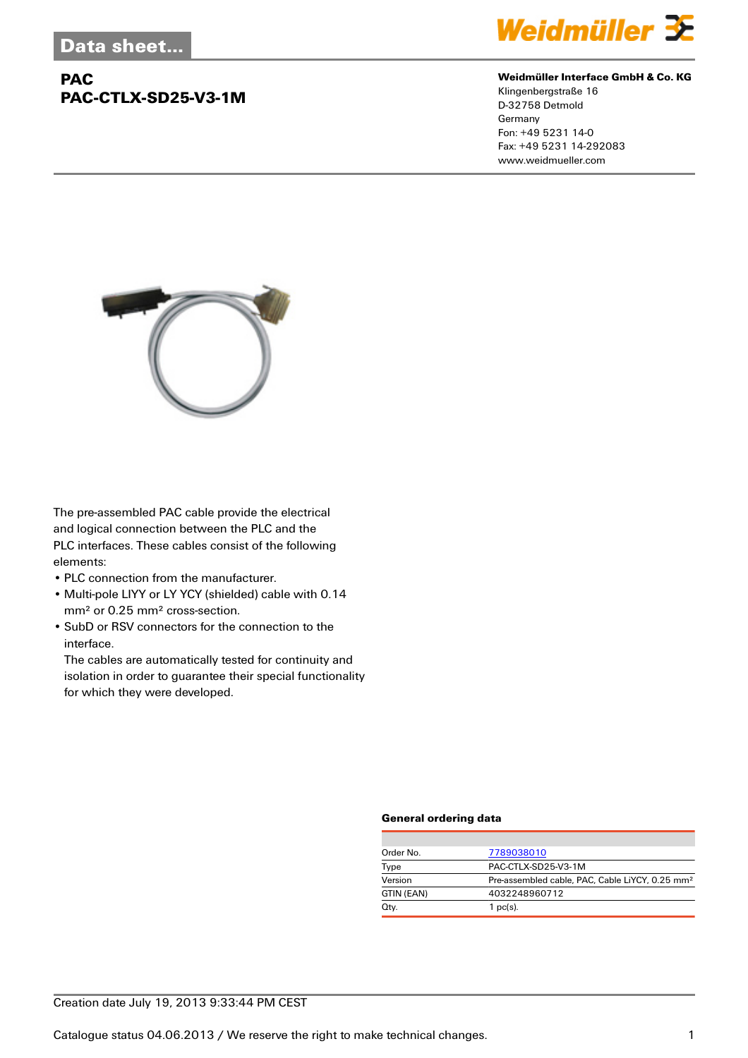## **PAC PAC-CTLX-SD25-V3-1M**



#### **Weidmüller Interface GmbH & Co. KG**

Klingenbergstraße 16 D-32758 Detmold Germany Fon: +49 5231 14-0 Fax: +49 5231 14-292083 www.weidmueller.com



The pre-assembled PAC cable provide the electrical and logical connection between the PLC and the PLC interfaces. These cables consist of the following elements:

- PLC connection from the manufacturer.
- Multi-pole LIYY or LY YCY (shielded) cable with 0.14 mm² or 0.25 mm² cross-section.
- SubD or RSV connectors for the connection to the interface.

The cables are automatically tested for continuity and isolation in order to guarantee their special functionality for which they were developed.

### **General ordering data**

| Order No.  | 7789038010                                                  |  |  |
|------------|-------------------------------------------------------------|--|--|
| Type       | PAC-CTLX-SD25-V3-1M                                         |  |  |
| Version    | Pre-assembled cable, PAC, Cable LiYCY, 0.25 mm <sup>2</sup> |  |  |
| GTIN (EAN) | 4032248960712                                               |  |  |
| Qty.       | $1$ pc(s).                                                  |  |  |